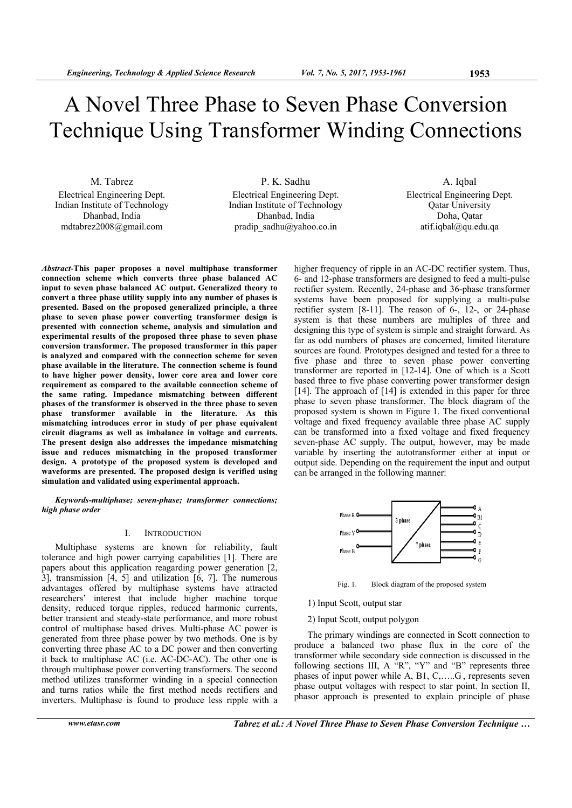# A Novel Three Phase to Seven Phase Conversion Technique Using Transformer Winding Connections

M. Tabrez Electrical Engineering Dept. Indian Institute of Technology Dhanbad, India mdtabrez2008@gmail.com

P. K. Sadhu Electrical Engineering Dept. Indian Institute of Technology Dhanbad, India pradip\_sadhu@yahoo.co.in

A. Iqbal Electrical Engineering Dept. Qatar University Doha, Qatar atif.iqbal@qu.edu.qa

*Abstract-***This paper proposes a novel multiphase transformer connection scheme which converts three phase balanced AC input to seven phase balanced AC output. Generalized theory to convert a three phase utility supply into any number of phases is presented. Based on the proposed generalized principle, a three phase to seven phase power converting transformer design is presented with connection scheme, analysis and simulation and experimental results of the proposed three phase to seven phase conversion transformer. The proposed transformer in this paper is analyzed and compared with the connection scheme for seven phase available in the literature. The connection scheme is found to have higher power density, lower core area and lower core requirement as compared to the available connection scheme of the same rating. Impedance mismatching between different phases of the transformer is observed in the three phase to seven phase transformer available in the literature. As this mismatching introduces error in study of per phase equivalent circuit diagrams as well as imbalance in voltage and currents. The present design also addresses the impedance mismatching issue and reduces mismatching in the proposed transformer design. A prototype of the proposed system is developed and waveforms are presented. The proposed design is verified using simulation and validated using experimental approach.** 

*Keywords-multiphase; seven-phase; transformer connections; high phase order* 

# I. INTRODUCTION

Multiphase systems are known for reliability, fault tolerance and high power carrying capabilities [1]. There are papers about this application reagarding power generation [2, 3], transmission [4, 5] and utilization [6, 7]. The numerous advantages offered by multiphase systems have attracted researchers' interest that include higher machine torque density, reduced torque ripples, reduced harmonic currents, better transient and steady-state performance, and more robust control of multiphase based drives. Multi-phase AC power is generated from three phase power by two methods. One is by converting three phase AC to a DC power and then converting it back to multiphase AC (i.e. AC-DC-AC). The other one is through multiphase power converting transformers. The second method utilizes transformer winding in a special connection and turns ratios while the first method needs rectifiers and inverters. Multiphase is found to produce less ripple with a

*www.etasr.com Tabrez et al.: A Novel Three Phase to Seven Phase Conversion Technique …*

higher frequency of ripple in an AC-DC rectifier system. Thus, 6- and 12-phase transformers are designed to feed a multi-pulse rectifier system. Recently, 24-phase and 36-phase transformer systems have been proposed for supplying a multi-pulse rectifier system  $[8-11]$ . The reason of  $6-$ ,  $12-$ , or 24-phase system is that these numbers are multiples of three and designing this type of system is simple and straight forward. As far as odd numbers of phases are concerned, limited literature sources are found. Prototypes designed and tested for a three to five phase and three to seven phase power converting transformer are reported in [12-14]. One of which is a Scott based three to five phase converting power transformer design [14]. The approach of [14] is extended in this paper for three phase to seven phase transformer. The block diagram of the proposed system is shown in Figure 1. The fixed conventional voltage and fixed frequency available three phase AC supply can be transformed into a fixed voltage and fixed frequency seven-phase AC supply. The output, however, may be made variable by inserting the autotransformer either at input or output side. Depending on the requirement the input and output can be arranged in the following manner:



Fig. 1. Block diagram of the proposed system

- 1) Input Scott, output star
- 2) Input Scott, output polygon

The primary windings are connected in Scott connection to produce a balanced two phase flux in the core of the transformer while secondary side connection is discussed in the following sections III, A "R", "Y" and "B" represents three phases of input power while A, B1, C,…..G , represents seven phase output voltages with respect to star point. In section II, phasor approach is presented to explain principle of phase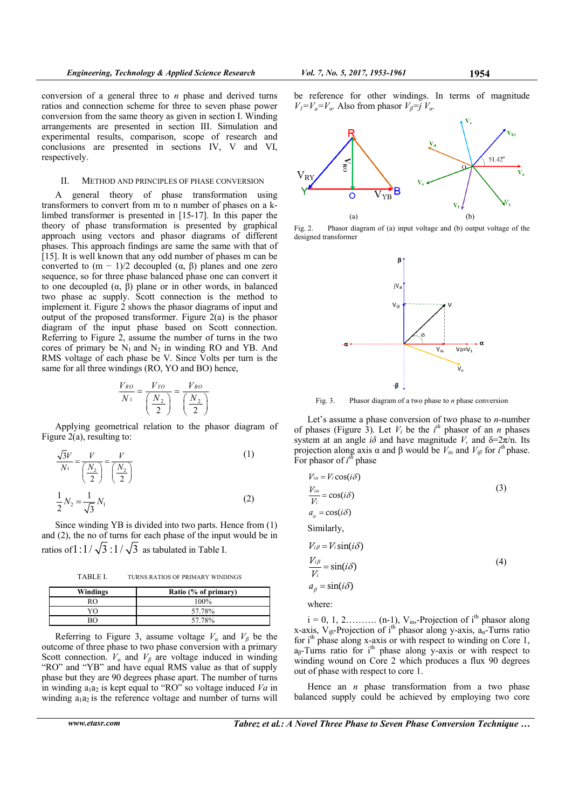$V_1 = V_a = V_a$ . Also from phasor  $V_\beta = j V_a$ .

conversion of a general three to *n* phase and derived turns ratios and connection scheme for three to seven phase power conversion from the same theory as given in section I. Winding arrangements are presented in section III. Simulation and experimental results, comparison, scope of research and conclusions are presented in sections IV, V and VI, respectively.

#### II. METHOD AND PRINCIPLES OF PHASE CONVERSION

A general theory of phase transformation using transformers to convert from m to n number of phases on a klimbed transformer is presented in [15-17]. In this paper the theory of phase transformation is presented by graphical approach using vectors and phasor diagrams of different phases. This approach findings are same the same with that of [15]. It is well known that any odd number of phases m can be converted to  $(m - 1)/2$  decoupled  $(α, β)$  planes and one zero sequence, so for three phase balanced phase one can convert it to one decoupled (α, β) plane or in other words, in balanced two phase ac supply. Scott connection is the method to implement it. Figure 2 shows the phasor diagrams of input and output of the proposed transformer. Figure 2(a) is the phasor diagram of the input phase based on Scott connection. Referring to Figure 2, assume the number of turns in the two cores of primary be  $N_1$  and  $N_2$  in winding RO and YB. And RMS voltage of each phase be V. Since Volts per turn is the same for all three windings (RO, YO and BO) hence,

$$
\frac{V_{RO}}{N_1} = \frac{V_{YO}}{\left(\frac{N_2}{2}\right)} = \frac{V_{BO}}{\left(\frac{N_2}{2}\right)}
$$

Applying geometrical relation to the phasor diagram of Figure 2(a), resulting to:

$$
\frac{\sqrt{3}V}{N_1} = \frac{V}{\left(\frac{N_2}{2}\right)} = \frac{V}{\left(\frac{N_2}{2}\right)}
$$
(1)  

$$
\frac{1}{2}N_2 = \frac{1}{\sqrt{3}}N_1
$$
(2)

Since winding YB is divided into two parts. Hence from (1) and (2), the no of turns for each phase of the input would be in ratios of  $1:1/\sqrt{3}:1/\sqrt{3}$  as tabulated in Table I.

TABLE I. TURNS RATIOS OF PRIMARY WINDINGS

| Windings | Ratio (% of primary) |
|----------|----------------------|
| RO.      | 100%                 |
| YO       | 57.78%               |
| 30       | 57.78%               |

Referring to Figure 3, assume voltage  $V_\alpha$  and  $V_\beta$  be the outcome of three phase to two phase conversion with a primary Scott connection.  $V_a$  and  $V_\beta$  are voltage induced in winding "RO" and "YB" and have equal RMS value as that of supply phase but they are 90 degrees phase apart. The number of turns in winding  $a_1a_2$  is kept equal to "RO" so voltage induced *Va* in winding  $a_1a_2$  is the reference voltage and number of turns will be reference for other windings. In terms of magnitude



Fig. 2. Phasor diagram of (a) input voltage and (b) output voltage of the designed transformer



Fig. 3. Phasor diagram of a two phase to *n* phase conversion

Let's assume a phase conversion of two phase to *n-*number of phases (Figure 3). Let  $V_i$  be the  $i^{th}$  phasor of an *n* phases system at an angle  $i\delta$  and have magnitude *V*, and  $\delta = 2\pi/n$ . Its projection along axis  $\alpha$  and  $\beta$  would be  $V_{i\alpha}$  and  $V_{i\beta}$  for  $i^{th}$  phase. For phasor of  $i^{th}$  phase

$$
V_{ia} = V_i \cos(i\delta)
$$
\n
$$
\frac{V_{ia}}{V_i} = \cos(i\delta)
$$
\n
$$
a_{\alpha} = \cos(i\delta)
$$
\nSimilarly,\n
$$
V_{i\beta} = V_i \sin(i\delta)
$$
\n
$$
\frac{V_{i\beta}}{V_i} = \sin(i\delta)
$$
\n
$$
a_{\beta} = \sin(i\delta)
$$
\nwhere:

 $i = 0, 1, 2, \ldots, (n-1), V_{i\alpha}$ -Projection of i<sup>th</sup> phasor along x-axis,  $V_{i\beta}$ -Projection of i<sup>th</sup> phasor along y-axis,  $a_{\alpha}$ -Turns ratio for  $i<sup>th</sup>$  phase along x-axis or with respect to winding on Core 1,  $a_8$ -Turns ratio for i<sup>th</sup> phase along y-axis or with respect to winding wound on Core 2 which produces a flux 90 degrees out of phase with respect to core 1.

Hence an *n* phase transformation from a two phase balanced supply could be achieved by employing two core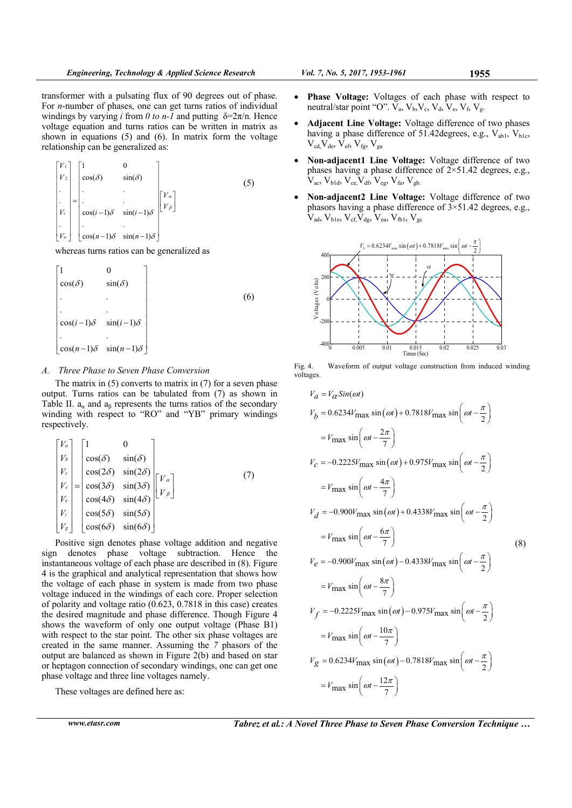transformer with a pulsating flux of 90 degrees out of phase. For *n*-number of phases, one can get turns ratios of individual windings by varying *i* from *0 to n-1* and putting δ=2π/n*.* Hence voltage equation and turns ratios can be written in matrix as shown in equations (5) and (6). In matrix form the voltage relationship can be generalized as:

$$
\begin{bmatrix} V_1 \\ V_2 \\ \vdots \\ V_i \\ V_i \\ \vdots \\ V_n \end{bmatrix} = \begin{bmatrix} 1 & 0 \\ \cos(\delta) & \sin(\delta) \\ \vdots & \vdots \\ \cos(i-1)\delta & \sin(i-1)\delta \\ \cos(n-1)\delta & \sin(n-1)\delta \end{bmatrix} \begin{bmatrix} V_a \\ V_\beta \end{bmatrix}
$$
 (5)

whereas turns ratios can be generalized as

$$
\begin{bmatrix}\n1 & 0 & & & \\
\cos(\delta) & \sin(\delta) & & & \\
\cdot & \cdot & \cdot & & \\
\cos(i-1)\delta & \sin(i-1)\delta & & \\
\cdot & \cdot & \cdot & \\
\cos(n-1)\delta & \sin(n-1)\delta\n\end{bmatrix}
$$
\n(6)

## *A. Three Phase to Seven Phase Conversion*

The matrix in  $(5)$  converts to matrix in  $(7)$  for a seven phase output. Turns ratios can be tabulated from (7) as shown in Table II.  $a_{\alpha}$  and  $a_{\beta}$  represents the turns ratios of the secondary winding with respect to "RO" and "YB" primary windings respectively.

$$
\begin{bmatrix}\nV_a \\
V_b \\
V_c \\
V_c \\
V_d \\
V_e \\
V_e \\
V_e \\
V_f \\
V_g\n\end{bmatrix} = \begin{bmatrix}\n1 & 0 & 0 \\
\cos(\delta) & \sin(\delta) & 0 \\
\cos(2\delta) & \sin(2\delta) & 0 \\
\cos(3\delta) & \sin(3\delta) & 0 \\
\cos(4\delta) & \sin(4\delta) & 0 \\
\cos(5\delta) & \sin(5\delta) & 0 \\
\cos(6\delta) & \sin(6\delta)\n\end{bmatrix} \n\begin{bmatrix}\nV_a \\
V_b \\
V_b\n\end{bmatrix}
$$
\n(7)

Positive sign denotes phase voltage addition and negative sign denotes phase voltage subtraction. Hence the instantaneous voltage of each phase are described in (8). Figure 4 is the graphical and analytical representation that shows how the voltage of each phase in system is made from two phase voltage induced in the windings of each core. Proper selection of polarity and voltage ratio (0.623, 0.7818 in this case) creates the desired magnitude and phase difference. Though Figure 4 shows the waveform of only one output voltage (Phase B1) with respect to the star point. The other six phase voltages are created in the same manner. Assuming the *7* phasors of the output are balanced as shown in Figure 2(b) and based on star or heptagon connection of secondary windings, one can get one phase voltage and three line voltages namely.

These voltages are defined here as:

- **Phase Voltage:** Voltages of each phase with respect to neutral/star point "O".  $V_a$ ,  $V_b$ ,  $V_c$ ,  $V_d$ ,  $V_e$ ,  $V_f$ ,  $V_g$ .
- **Adjacent Line Voltage:** Voltage difference of two phases having a phase difference of 51.42 degrees, e.g.,  $V_{ab1}$ ,  $V_{b1c}$ ,  $V_{cd}V_{de}$ ,  $V_{ef}$ ,  $V_{fg}$ ,  $V_{ga}$
- **Non-adjacent1 Line Voltage:** Voltage difference of two phases having a phase difference of  $2 \times 51.42$  degrees, e.g.,  $V_{ac}$ ,  $V_{b1d}$ ,  $V_{ce}$ ,  $V_{df}$ ,  $V_{eg}$ ,  $V_{fa}$ ,  $V_{gb}$ .
- **Non-adjacent2 Line Voltage:** Voltage difference of two phasors having a phase difference of  $3 \times 51.42$  degrees, e.g.,  $\overline{V}_{\text{ad}}$ ,  $V_{\text{b1e}}$ ,  $V_{\text{cf}}$ ,  $\overline{V}_{\text{de}}$ ,  $\overline{V}_{\text{ea}}$ ,  $V_{\text{fb1}}$ ,  $V_{\text{gc}}$



Fig. 4. Waveform of output voltage construction from induced winding voltages.

$$
V_a = V_\alpha Sin(\omega t)
$$
  
\n
$$
V_b = 0.6234V_{\text{max}} \sin(\omega t) + 0.7818V_{\text{max}} \sin\left(\omega t - \frac{\pi}{2}\right)
$$
  
\n
$$
= V_{\text{max}} \sin\left(\omega t - \frac{2\pi}{7}\right)
$$
  
\n
$$
V_c = -0.2225V_{\text{max}} \sin(\omega t) + 0.975V_{\text{max}} \sin\left(\omega t - \frac{\pi}{2}\right)
$$
  
\n
$$
= V_{\text{max}} \sin\left(\omega t - \frac{4\pi}{7}\right)
$$
  
\n
$$
V_d = -0.900V_{\text{max}} \sin(\omega t) + 0.4338V_{\text{max}} \sin\left(\omega t - \frac{\pi}{2}\right)
$$
  
\n
$$
= V_{\text{max}} \sin\left(\omega t - \frac{6\pi}{7}\right)
$$
  
\n
$$
V_e = -0.900V_{\text{max}} \sin(\omega t) - 0.4338V_{\text{max}} \sin\left(\omega t - \frac{\pi}{2}\right)
$$
  
\n
$$
= V_{\text{max}} \sin\left(\omega t - \frac{8\pi}{7}\right)
$$
  
\n
$$
V_f = -0.2225V_{\text{max}} \sin(\omega t) - 0.975V_{\text{max}} \sin\left(\omega t - \frac{\pi}{2}\right)
$$
  
\n
$$
= V_{\text{max}} \sin\left(\omega t - \frac{10\pi}{7}\right)
$$
  
\n
$$
V_g = 0.6234V_{\text{max}} \sin(\omega t) - 0.7818V_{\text{max}} \sin\left(\omega t - \frac{\pi}{2}\right)
$$
  
\n
$$
= V_{\text{max}} \sin\left(\omega t - \frac{12\pi}{7}\right)
$$

*www.etasr.com Tabrez et al.: A Novel Three Phase to Seven Phase Conversion Technique …*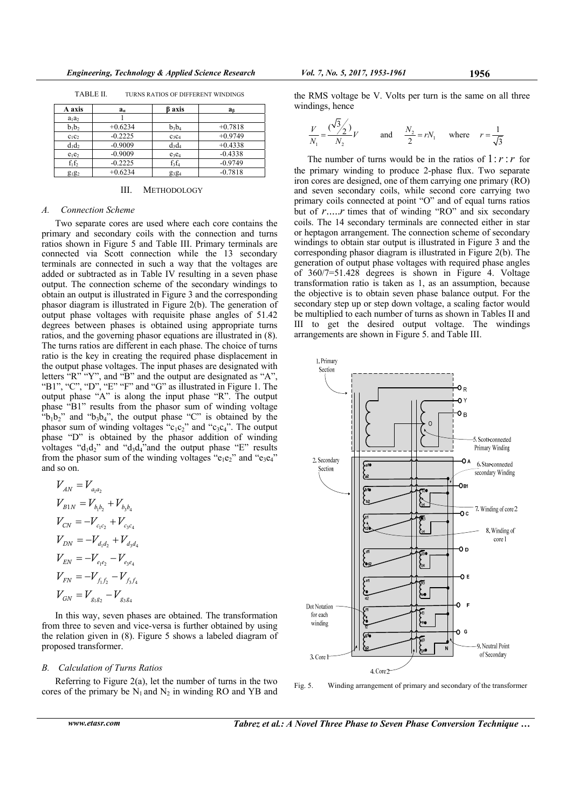| A axis   | $a_a$     | <b>B</b> axis                 | a <sub>6</sub> |
|----------|-----------|-------------------------------|----------------|
| $a_1a_2$ |           |                               |                |
| $b_1b_2$ | $+0.6234$ | $b_3b_4$                      | $+0.7818$      |
| $c_1c_2$ | $-0.2225$ | $C_3C_4$                      | $+0.9749$      |
| $d_1d_2$ | $-0.9009$ | $d_3d_4$                      | $+0.4338$      |
| $e_1e_2$ | $-0.9009$ | $e_3e_4$                      | $-0.4338$      |
| $f_1f_2$ | $-0.2225$ | $f_3f_4$                      | $-0.9749$      |
| $g_1g_2$ | $+0.6234$ | g <sub>3</sub> g <sub>4</sub> | $-0.7818$      |

TABLE II. TURNS RATIOS OF DIFFERENT WINDINGS

## III. METHODOLOGY

#### *A. Connection Scheme*

Two separate cores are used where each core contains the primary and secondary coils with the connection and turns ratios shown in Figure 5 and Table III. Primary terminals are connected via Scott connection while the 13 secondary terminals are connected in such a way that the voltages are added or subtracted as in Table IV resulting in a seven phase output. The connection scheme of the secondary windings to obtain an output is illustrated in Figure 3 and the corresponding phasor diagram is illustrated in Figure 2(b). The generation of output phase voltages with requisite phase angles of 51.42 degrees between phases is obtained using appropriate turns ratios, and the governing phasor equations are illustrated in (8). The turns ratios are different in each phase. The choice of turns ratio is the key in creating the required phase displacement in the output phase voltages. The input phases are designated with letters "R" "Y", and "B" and the output are designated as "A", "B1", "C", "D", "E" "F" and "G" as illustrated in Figure 1. The output phase "A" is along the input phase "R". The output phase "B1" results from the phasor sum of winding voltage " $b_1b_2$ " and " $b_3b_4$ ", the output phase "C" is obtained by the phasor sum of winding voltages "c<sub>1</sub>c<sub>2</sub>" and "c<sub>3</sub>c<sub>4</sub>". The output phase "D" is obtained by the phasor addition of winding voltages " $d_1d_2$ " and " $d_3d_4$ " and the output phase "E" results from the phasor sum of the winding voltages " $e_1e_2$ " and " $e_3e_4$ " and so on.

$$
V_{AN} = V_{a_1 a_2}
$$
  
\n
$$
V_{B1N} = V_{b_1 b_2} + V_{b_3 b_4}
$$
  
\n
$$
V_{CN} = -V_{c_1 c_2} + V_{c_3 c_4}
$$
  
\n
$$
V_{DN} = -V_{d_1 d_2} + V_{d_3 d_4}
$$
  
\n
$$
V_{EN} = -V_{e_1 e_2} - V_{e_3 e_4}
$$
  
\n
$$
V_{FN} = -V_{f_1 f_2} - V_{f_3 f_4}
$$
  
\n
$$
V_{GN} = V_{g_1 g_2} - V_{g_3 g_4}
$$

In this way, seven phases are obtained. The transformation from three to seven and vice-versa is further obtained by using the relation given in (8). Figure 5 shows a labeled diagram of proposed transformer.

# *B. Calculation of Turns Ratios*

Referring to Figure 2(a), let the number of turns in the two cores of the primary be  $N_1$  and  $N_2$  in winding RO and YB and

the RMS voltage be V. Volts per turn is the same on all three windings, hence

$$
\frac{V}{N_1} = \frac{(\sqrt{3}/2)}{N_2}V
$$
 and 
$$
\frac{N_2}{2} = rN_1
$$
 where  $r = \frac{1}{\sqrt{3}}$ 

The number of turns would be in the ratios of  $1:r:r$  for the primary winding to produce 2-phase flux. Two separate iron cores are designed, one of them carrying one primary (RO) and seven secondary coils, while second core carrying two primary coils connected at point "O" and of equal turns ratios but of *r*.....*r* times that of winding "RO" and six secondary coils. The 14 secondary terminals are connected either in star or heptagon arrangement. The connection scheme of secondary windings to obtain star output is illustrated in Figure 3 and the corresponding phasor diagram is illustrated in Figure 2(b). The generation of output phase voltages with required phase angles of 360/7=51.428 degrees is shown in Figure 4. Voltage transformation ratio is taken as 1, as an assumption, because the objective is to obtain seven phase balance output. For the secondary step up or step down voltage, a scaling factor would be multiplied to each number of turns as shown in Tables II and III to get the desired output voltage. The windings arrangements are shown in Figure 5. and Table III.



Fig. 5. Winding arrangement of primary and secondary of the transformer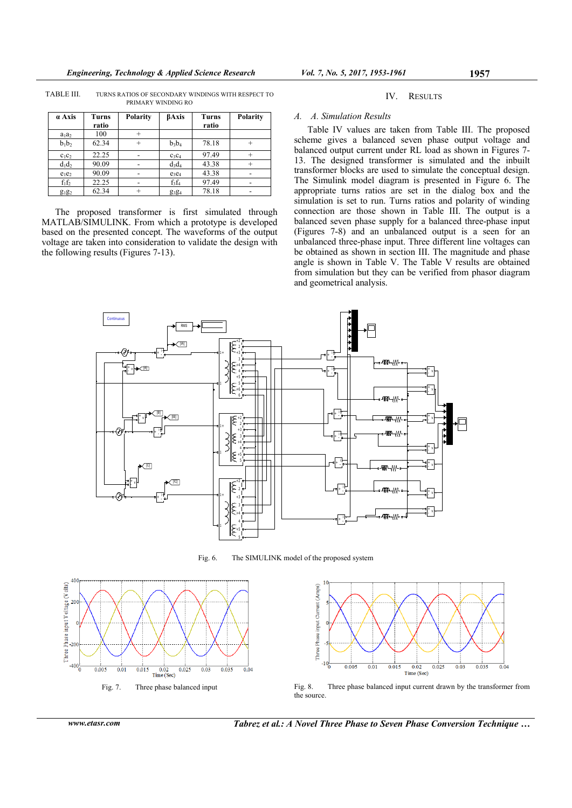TABLE III. TURNS RATIOS OF SECONDARY WINDINGS WITH RESPECT TO PRIMARY WINDING RO

| a Axis   | <b>Turns</b><br>ratio | Polarity | <b>BAxis</b>                  | <b>Turns</b><br>ratio | Polarity |
|----------|-----------------------|----------|-------------------------------|-----------------------|----------|
| $a_1a_2$ | 100                   | $^{+}$   |                               |                       |          |
| $b_1b_2$ | 62.34                 |          | $b_3b_4$                      | 78.18                 |          |
| $c_1c_2$ | 22.25                 |          | $C_3C_4$                      | 97.49                 |          |
| $d_1d_2$ | 90.09                 |          | $d_3d_4$                      | 43.38                 |          |
| $e_1e_2$ | 90.09                 | ۰        | $e_3e_4$                      | 43.38                 |          |
| $f_1f_2$ | 22.25                 |          | $f_3f_4$                      | 97.49                 | -        |
| $g_1g_2$ | 62.34                 |          | g <sub>3</sub> g <sub>4</sub> | 78.18                 |          |

The proposed transformer is first simulated through MATLAB/SIMULINK. From which a prototype is developed based on the presented concept. The waveforms of the output voltage are taken into consideration to validate the design with the following results (Figures 7-13).

# IV. RESULTS

# *A. A. Simulation Results*

Table IV values are taken from Table III. The proposed scheme gives a balanced seven phase output voltage and balanced output current under RL load as shown in Figures 7- 13. The designed transformer is simulated and the inbuilt transformer blocks are used to simulate the conceptual design. The Simulink model diagram is presented in Figure 6. The appropriate turns ratios are set in the dialog box and the simulation is set to run. Turns ratios and polarity of winding connection are those shown in Table III. The output is a balanced seven phase supply for a balanced three-phase input (Figures 7-8) and an unbalanced output is a seen for an unbalanced three-phase input. Three different line voltages can be obtained as shown in section III. The magnitude and phase angle is shown in Table V. The Table V results are obtained from simulation but they can be verified from phasor diagram and geometrical analysis.



Fig. 6. The SIMULINK model of the proposed system





Fig. 7. Three phase balanced input Fig. 8. Three phase balanced input current drawn by the transformer from the source.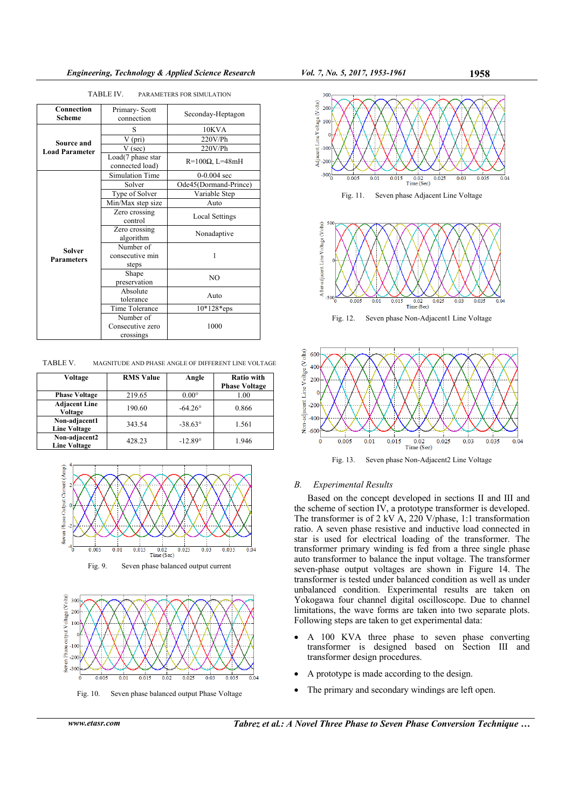| Connection<br>Scheme        | Primary-Scott<br>connection           | Seconday-Heptagon      |
|-----------------------------|---------------------------------------|------------------------|
|                             | S                                     | 10KVA                  |
| Source and                  | V (pri)                               | $220V$ /Ph             |
| <b>Load Parameter</b>       | V (sec)                               | 220V/Ph                |
|                             | Load(7 phase star<br>connected load)  | $R=100\Omega$ , L=48mH |
|                             | <b>Simulation Time</b>                | $0-0.004$ sec          |
|                             | Solver                                | Ode45(Dormand-Prince)  |
|                             | Type of Solver                        | Variable Step          |
|                             | Min/Max step size                     | Auto                   |
| Solver<br><b>Parameters</b> | Zero crossing<br>control              | <b>Local Settings</b>  |
|                             | Zero crossing<br>algorithm            | Nonadaptive            |
|                             | Number of<br>consecutive min<br>steps | 1                      |
|                             | Shape<br>preservation                 | NO                     |
|                             | Absolute<br>tolerance                 | Auto                   |
|                             | Time Tolerance                        | $10*128*eps$           |
|                             | Number of                             |                        |
|                             | Consecutive zero<br>crossings         | 1000                   |

TABLE IV. PARAMETERS FOR SIMULATION

TABLE V. MAGNITUDE AND PHASE ANGLE OF DIFFERENT LINE VOLTAGE

| Voltage                              | <b>RMS Value</b> | Angle            | <b>Ratio with</b>    |
|--------------------------------------|------------------|------------------|----------------------|
|                                      |                  |                  | <b>Phase Voltage</b> |
| <b>Phase Voltage</b>                 | 219.65           | $0.00^\circ$     | 1.00                 |
| <b>Adjacent Line</b><br>Voltage      | 190.60           | $-64.26^{\circ}$ | 0.866                |
| Non-adjacent1<br><b>Line Voltage</b> | 343.54           | $-38.63^{\circ}$ | 1.561                |
| Non-adjacent2<br><b>Line Voltage</b> | 428.23           | $-12.89^{\circ}$ | 1.946                |





Fig. 10. Seven phase balanced output Phase Voltage





Fig. 13. Seven phase Non-Adjacent2 Line Voltage

# *B. Experimental Results*

Based on the concept developed in sections II and III and the scheme of section IV, a prototype transformer is developed. The transformer is of 2 kV A, 220 V/phase, 1:1 transformation ratio. A seven phase resistive and inductive load connected in star is used for electrical loading of the transformer. The transformer primary winding is fed from a three single phase auto transformer to balance the input voltage. The transformer seven-phase output voltages are shown in Figure 14. The transformer is tested under balanced condition as well as under unbalanced condition. Experimental results are taken on Yokogawa four channel digital oscilloscope. Due to channel limitations, the wave forms are taken into two separate plots. Following steps are taken to get experimental data:

- A 100 KVA three phase to seven phase converting transformer is designed based on Section III and transformer design procedures.
- A prototype is made according to the design.
- The primary and secondary windings are left open.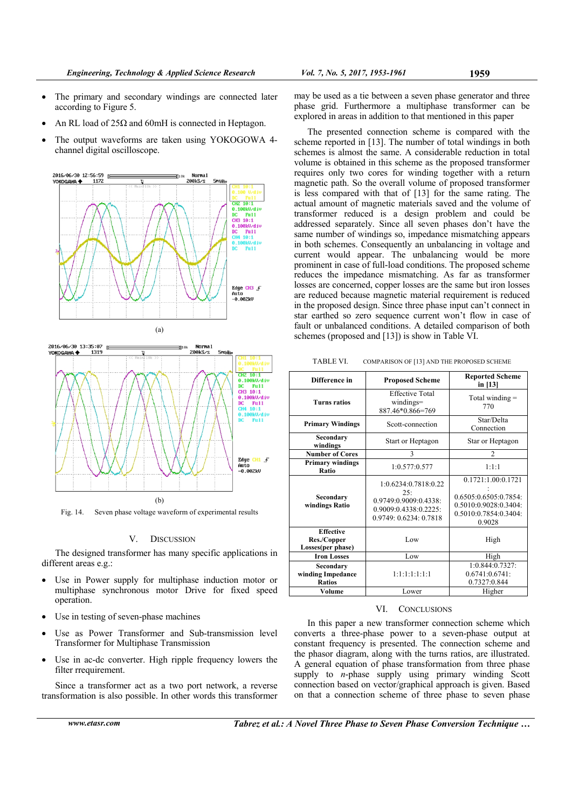- The primary and secondary windings are connected later according to Figure 5.
- An RL load of  $25\Omega$  and 60mH is connected in Heptagon.
- The output waveforms are taken using YOKOGOWA 4 channel digital oscilloscope.





Fig. 14. Seven phase voltage waveform of experimental results

# V. DISCUSSION

The designed transformer has many specific applications in different areas e.g.:

- Use in Power supply for multiphase induction motor or multiphase synchronous motor Drive for fixed speed operation.
- Use in testing of seven-phase machines
- Use as Power Transformer and Sub-transmission level Transformer for Multiphase Transmission
- Use in ac-dc converter. High ripple frequency lowers the filter rrequirement.

Since a transformer act as a two port network, a reverse transformation is also possible. In other words this transformer

may be used as a tie between a seven phase generator and three phase grid. Furthermore a multiphase transformer can be explored in areas in addition to that mentioned in this paper

The presented connection scheme is compared with the scheme reported in [13]. The number of total windings in both schemes is almost the same. A considerable reduction in total volume is obtained in this scheme as the proposed transformer requires only two cores for winding together with a return magnetic path. So the overall volume of proposed transformer is less compared with that of [13] for the same rating. The actual amount of magnetic materials saved and the volume of transformer reduced is a design problem and could be addressed separately. Since all seven phases don't have the same number of windings so, impedance mismatching appears in both schemes. Consequently an unbalancing in voltage and current would appear. The unbalancing would be more prominent in case of full-load conditions. The proposed scheme reduces the impedance mismatching. As far as transformer losses are concerned, copper losses are the same but iron losses are reduced because magnetic material requirement is reduced in the proposed design. Since three phase input can't connect in star earthed so zero sequence current won't flow in case of fault or unbalanced conditions. A detailed comparison of both schemes (proposed and [13]) is show in Table VI.

| TABLE VI.<br>COMPARISON OF [13] AND THE PROPOSED SCHEME |
|---------------------------------------------------------|
|---------------------------------------------------------|

| Difference in                                        | <b>Proposed Scheme</b>                                                                                  | <b>Reported Scheme</b><br>in $[13]$                                                                     |
|------------------------------------------------------|---------------------------------------------------------------------------------------------------------|---------------------------------------------------------------------------------------------------------|
| <b>Turns ratios</b>                                  | <b>Effective Total</b><br>windings=<br>887.46*0.866=769                                                 | Total winding $=$<br>770                                                                                |
| <b>Primary Windings</b>                              | Scott-connection                                                                                        | Star/Delta<br>Connection                                                                                |
| Secondary<br>windings                                | Start or Heptagon                                                                                       | Star or Heptagon                                                                                        |
| <b>Number of Cores</b>                               | 3                                                                                                       | $\overline{c}$                                                                                          |
| <b>Primary windings</b><br>Ratio                     | 1:0.577:0.577                                                                                           | 1:1:1                                                                                                   |
| Secondary<br>windings Ratio                          | 1:0.6234:0.7818:0.22<br>25:<br>0.9749:0.9009:0.4338:<br>0.9009:0.4338:0.2225:<br>0.9749: 0.6234: 0.7818 | 0.1721:1.00:0.1721<br>0.6505:0.6505:0.7854:<br>0.5010:0.9028:0.3404:<br>0.5010:0.7854:0.3404:<br>0.9028 |
| <b>Effective</b><br>Res./Copper<br>Losses(per phase) | Low                                                                                                     | High                                                                                                    |
| <b>Iron Losses</b>                                   | Low                                                                                                     | High                                                                                                    |
| Secondary<br>winding Impedance<br><b>Ratios</b>      | 1:1:1:1:1:1:1                                                                                           | 1:0.844:0.7327:<br>0.6741:0.6741:<br>0.7327:0.844                                                       |
| Volume                                               | Lower                                                                                                   | Higher                                                                                                  |

#### VI. CONCLUSIONS

In this paper a new transformer connection scheme which converts a three-phase power to a seven-phase output at constant frequency is presented. The connection scheme and the phasor diagram, along with the turns ratios, are illustrated. A general equation of phase transformation from three phase supply to *n*-phase supply using primary winding Scott connection based on vector/graphical approach is given. Based on that a connection scheme of three phase to seven phase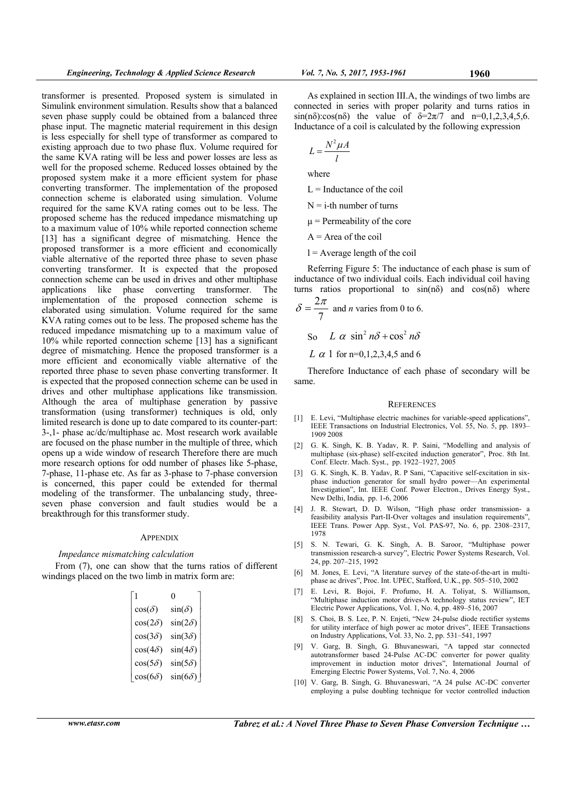transformer is presented. Proposed system is simulated in Simulink environment simulation. Results show that a balanced seven phase supply could be obtained from a balanced three phase input. The magnetic material requirement in this design is less especially for shell type of transformer as compared to existing approach due to two phase flux. Volume required for the same KVA rating will be less and power losses are less as well for the proposed scheme. Reduced losses obtained by the proposed system make it a more efficient system for phase converting transformer. The implementation of the proposed connection scheme is elaborated using simulation. Volume required for the same KVA rating comes out to be less. The proposed scheme has the reduced impedance mismatching up to a maximum value of 10% while reported connection scheme [13] has a significant degree of mismatching. Hence the proposed transformer is a more efficient and economically viable alternative of the reported three phase to seven phase converting transformer. It is expected that the proposed connection scheme can be used in drives and other multiphase applications like phase converting transformer. The implementation of the proposed connection scheme is elaborated using simulation. Volume required for the same KVA rating comes out to be less. The proposed scheme has the reduced impedance mismatching up to a maximum value of 10% while reported connection scheme [13] has a significant degree of mismatching. Hence the proposed transformer is a more efficient and economically viable alternative of the reported three phase to seven phase converting transformer. It is expected that the proposed connection scheme can be used in drives and other multiphase applications like transmission. Although the area of multiphase generation by passive transformation (using transformer) techniques is old, only limited research is done up to date compared to its counter-part: 3-,1- phase ac/dc/multiphase ac. Most research work available are focused on the phase number in the multiple of three, which opens up a wide window of research Therefore there are much more research options for odd number of phases like 5-phase, 7-phase, 11-phase etc. As far as 3-phase to 7-phase conversion is concerned, this paper could be extended for thermal modeling of the transformer. The unbalancing study, threeseven phase conversion and fault studies would be a breakthrough for this transformer study.

#### **APPENDIX**

#### *Impedance mismatching calculation*

From (7), one can show that the turns ratios of different windings placed on the two limb in matrix form are:

| 1              | 0              |
|----------------|----------------|
| $cos(\delta)$  | $sin(\delta)$  |
| $cos(2\delta)$ | $sin(2\delta)$ |
| $cos(3\delta)$ | $sin(3\delta)$ |
| $cos(4\delta)$ | $sin(4\delta)$ |
| $cos(5\delta)$ | $sin(5\delta)$ |
| $cos(6\delta)$ | $sin(6\delta)$ |

As explained in section III.A, the windings of two limbs are connected in series with proper polarity and turns ratios in sin(nδ):cos(nδ) the value of  $\delta = 2\pi/7$  and n=0,1,2,3,4,5,6. Inductance of a coil is calculated by the following expression

$$
L = \frac{N^2 \mu A}{l}
$$

where

- $L = Inductance$  of the coil
- $N = i$ -th number of turns
- $\mu$  = Permeability of the core

 $A = Area of the coil$ 

 $l =$  Average length of the coil

Referring Figure 5: The inductance of each phase is sum of inductance of two individual coils. Each individual coil having turns ratios proportional to  $sin(n\delta)$  and  $cos(n\delta)$  where

$$
\delta = \frac{2\pi}{7}
$$
 and *n* varies from 0 to 6.  
So  $L \alpha \sin^2 n\delta + \cos^2 n\delta$ 

*L*  $\alpha$  1 for n=0,1,2,3,4,5 and 6

Therefore Inductance of each phase of secondary will be same.

#### **REFERENCES**

- [1] E. Levi, "Multiphase electric machines for variable-speed applications", IEEE Transactions on Industrial Electronics, Vol. 55, No. 5, pp. 1893– 1909 2008
- [2] G. K. Singh, K. B. Yadav, R. P. Saini, "Modelling and analysis of multiphase (six-phase) self-excited induction generator", Proc. 8th Int. Conf. Electr. Mach. Syst., pp. 1922–1927, 2005
- [3] G. K. Singh, K. B. Yadav, R. P Sani, "Capacitive self-excitation in sixphase induction generator for small hydro power—An experimental Investigation", Int. IEEE Conf. Power Electron., Drives Energy Syst., New Delhi, India, pp. 1-6, 2006
- [4] J. R. Stewart, D. D. Wilson, "High phase order transmission- a feasibility analysis Part-II-Over voltages and insulation requirements", IEEE Trans. Power App. Syst., Vol. PAS-97, No. 6, pp. 2308–2317, 1978
- [5] S. N. Tewari, G. K. Singh, A. B. Saroor, "Multiphase power transmission research-a survey", Electric Power Systems Research, Vol. 24, pp. 207–215, 1992
- [6] M. Jones, E. Levi, "A literature survey of the state-of-the-art in multiphase ac drives", Proc. Int. UPEC, Stafford, U.K., pp. 505–510, 2002
- [7] E. Levi, R. Bojoi, F. Profumo, H. A. Toliyat, S. Williamson, "Multiphase induction motor drives-A technology status review", IET Electric Power Applications, Vol. 1, No. 4, pp. 489–516, 2007
- [8] S. Choi, B. S. Lee, P. N. Enjeti, "New 24-pulse diode rectifier systems for utility interface of high power ac motor drives", IEEE Transactions on Industry Applications, Vol. 33, No. 2, pp. 531–541, 1997
- [9] V. Garg, B. Singh, G. Bhuvaneswari, "A tapped star connected autotransformer based 24-Pulse AC-DC converter for power quality improvement in induction motor drives", International Journal of Emerging Electric Power Systems, Vol. 7, No. 4, 2006
- [10] V. Garg, B. Singh, G. Bhuvaneswari, "A 24 pulse AC-DC converter employing a pulse doubling technique for vector controlled induction